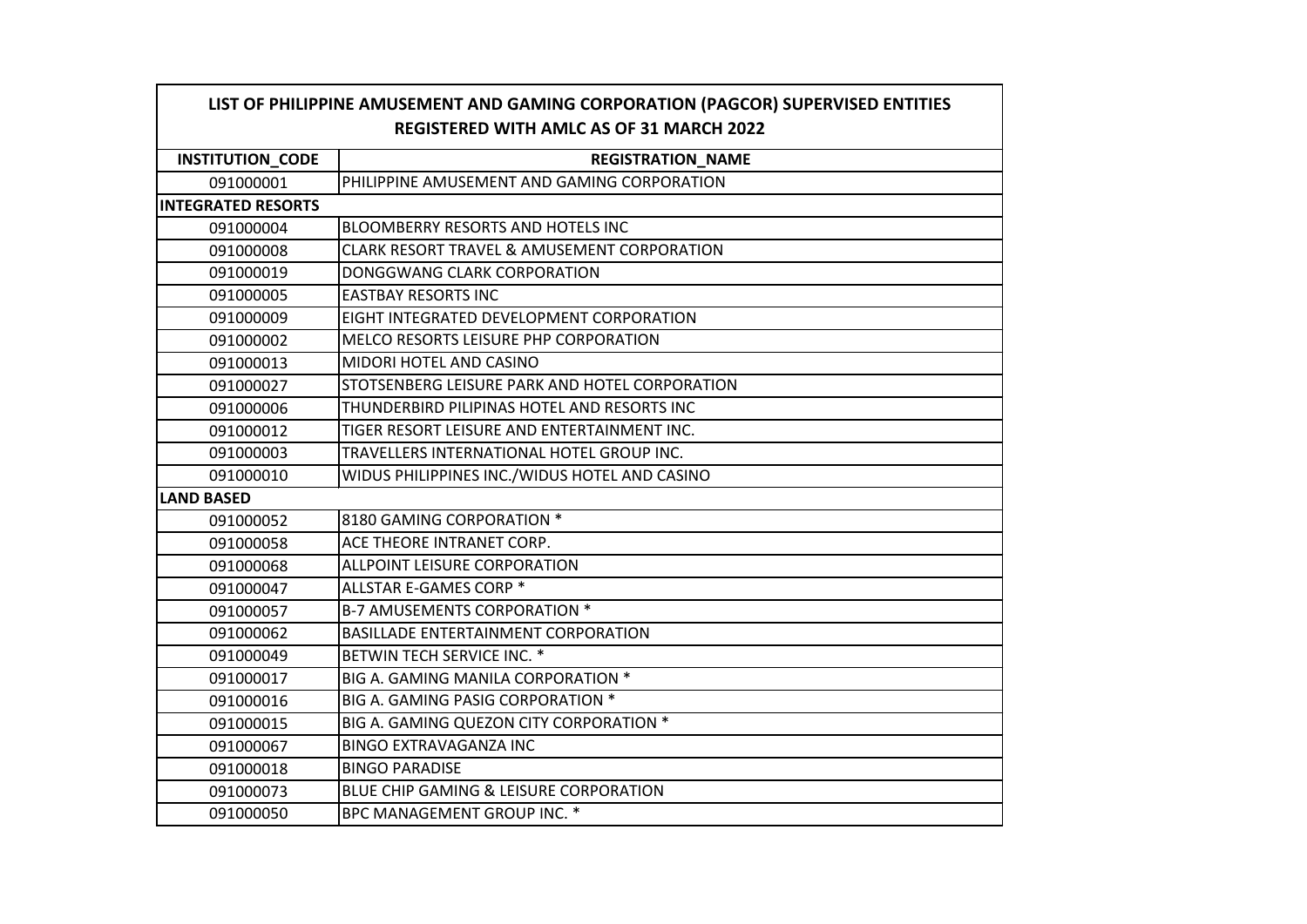| LIST OF PHILIPPINE AMUSEMENT AND GAMING CORPORATION (PAGCOR) SUPERVISED ENTITIES |                                                        |
|----------------------------------------------------------------------------------|--------------------------------------------------------|
|                                                                                  | <b>REGISTERED WITH AMLC AS OF 31 MARCH 2022</b>        |
| <b>INSTITUTION_CODE</b>                                                          | <b>REGISTRATION_NAME</b>                               |
| 091000001                                                                        | PHILIPPINE AMUSEMENT AND GAMING CORPORATION            |
| <b>INTEGRATED RESORTS</b>                                                        |                                                        |
| 091000004                                                                        | BLOOMBERRY RESORTS AND HOTELS INC                      |
| 091000008                                                                        | <b>CLARK RESORT TRAVEL &amp; AMUSEMENT CORPORATION</b> |
| 091000019                                                                        | DONGGWANG CLARK CORPORATION                            |
| 091000005                                                                        | <b>EASTBAY RESORTS INC</b>                             |
| 091000009                                                                        | EIGHT INTEGRATED DEVELOPMENT CORPORATION               |
| 091000002                                                                        | MELCO RESORTS LEISURE PHP CORPORATION                  |
| 091000013                                                                        | MIDORI HOTEL AND CASINO                                |
| 091000027                                                                        | STOTSENBERG LEISURE PARK AND HOTEL CORPORATION         |
| 091000006                                                                        | THUNDERBIRD PILIPINAS HOTEL AND RESORTS INC            |
| 091000012                                                                        | TIGER RESORT LEISURE AND ENTERTAINMENT INC.            |
| 091000003                                                                        | TRAVELLERS INTERNATIONAL HOTEL GROUP INC.              |
| 091000010                                                                        | WIDUS PHILIPPINES INC./WIDUS HOTEL AND CASINO          |
| <b>LAND BASED</b>                                                                |                                                        |
| 091000052                                                                        | 8180 GAMING CORPORATION *                              |
| 091000058                                                                        | ACE THEORE INTRANET CORP.                              |
| 091000068                                                                        | ALLPOINT LEISURE CORPORATION                           |
| 091000047                                                                        | ALLSTAR E-GAMES CORP *                                 |
| 091000057                                                                        | <b>B-7 AMUSEMENTS CORPORATION *</b>                    |
| 091000062                                                                        | <b>BASILLADE ENTERTAINMENT CORPORATION</b>             |
| 091000049                                                                        | BETWIN TECH SERVICE INC. *                             |
| 091000017                                                                        | BIG A. GAMING MANILA CORPORATION *                     |
| 091000016                                                                        | BIG A. GAMING PASIG CORPORATION *                      |
| 091000015                                                                        | BIG A. GAMING QUEZON CITY CORPORATION *                |
| 091000067                                                                        | <b>BINGO EXTRAVAGANZA INC</b>                          |
| 091000018                                                                        | <b>BINGO PARADISE</b>                                  |
| 091000073                                                                        | BLUE CHIP GAMING & LEISURE CORPORATION                 |
| 091000050                                                                        | BPC MANAGEMENT GROUP INC. *                            |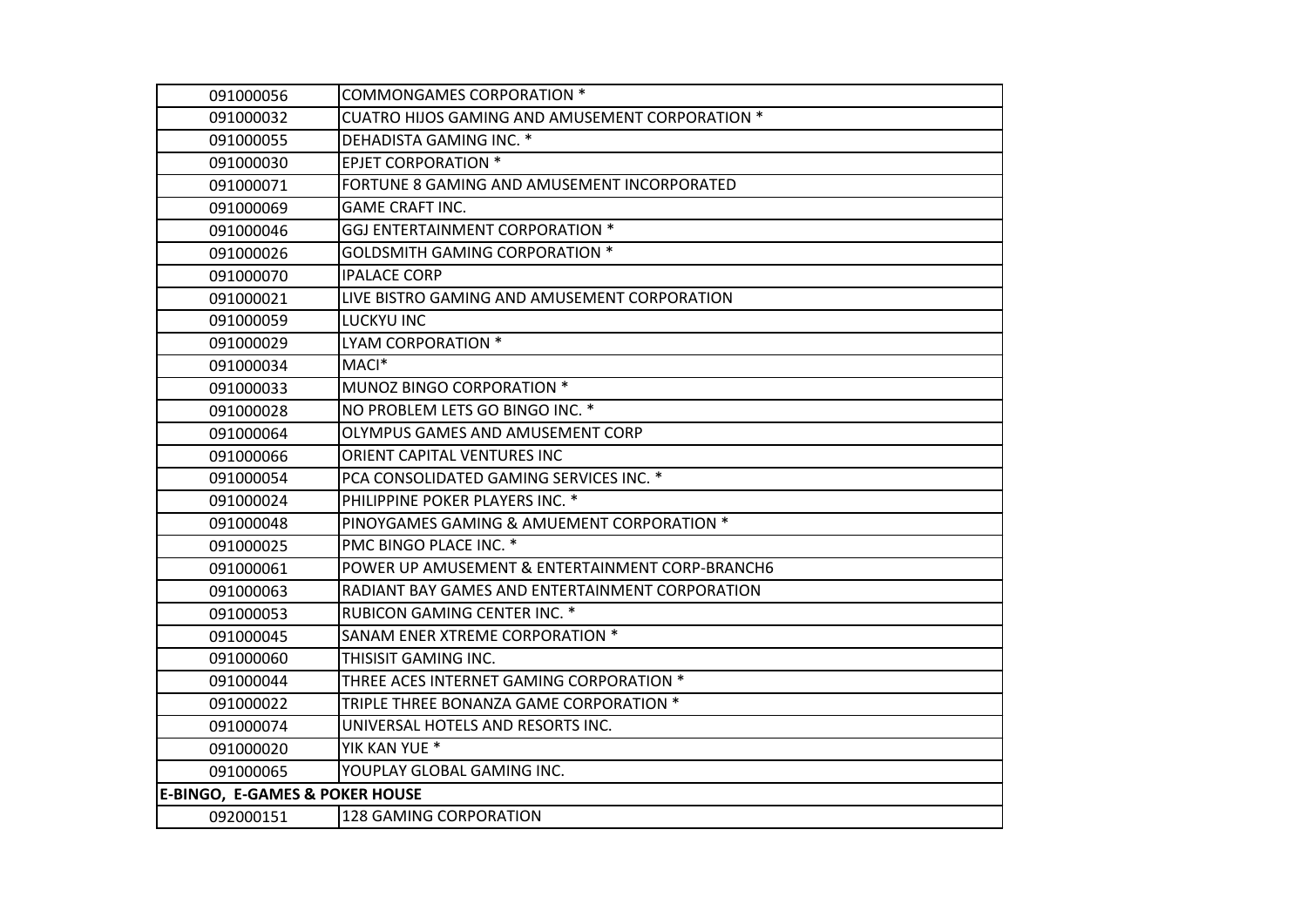| 091000056                                 | COMMONGAMES CORPORATION *                       |
|-------------------------------------------|-------------------------------------------------|
| 091000032                                 | CUATRO HIJOS GAMING AND AMUSEMENT CORPORATION * |
| 091000055                                 | DEHADISTA GAMING INC. *                         |
| 091000030                                 | <b>EPJET CORPORATION *</b>                      |
| 091000071                                 | FORTUNE 8 GAMING AND AMUSEMENT INCORPORATED     |
| 091000069                                 | <b>GAME CRAFT INC.</b>                          |
| 091000046                                 | GGJ ENTERTAINMENT CORPORATION *                 |
| 091000026                                 | <b>GOLDSMITH GAMING CORPORATION *</b>           |
| 091000070                                 | <b>IPALACE CORP</b>                             |
| 091000021                                 | LIVE BISTRO GAMING AND AMUSEMENT CORPORATION    |
| 091000059                                 | LUCKYU INC                                      |
| 091000029                                 | LYAM CORPORATION *                              |
| 091000034                                 | MACI*                                           |
| 091000033                                 | MUNOZ BINGO CORPORATION *                       |
| 091000028                                 | NO PROBLEM LETS GO BINGO INC. *                 |
| 091000064                                 | OLYMPUS GAMES AND AMUSEMENT CORP                |
| 091000066                                 | ORIENT CAPITAL VENTURES INC                     |
| 091000054                                 | PCA CONSOLIDATED GAMING SERVICES INC. *         |
| 091000024                                 | PHILIPPINE POKER PLAYERS INC. *                 |
| 091000048                                 | PINOYGAMES GAMING & AMUEMENT CORPORATION *      |
| 091000025                                 | PMC BINGO PLACE INC. *                          |
| 091000061                                 | POWER UP AMUSEMENT & ENTERTAINMENT CORP-BRANCH6 |
| 091000063                                 | RADIANT BAY GAMES AND ENTERTAINMENT CORPORATION |
| 091000053                                 | RUBICON GAMING CENTER INC. *                    |
| 091000045                                 | SANAM ENER XTREME CORPORATION *                 |
| 091000060                                 | THISISIT GAMING INC.                            |
| 091000044                                 | THREE ACES INTERNET GAMING CORPORATION *        |
| 091000022                                 | TRIPLE THREE BONANZA GAME CORPORATION *         |
| 091000074                                 | UNIVERSAL HOTELS AND RESORTS INC.               |
| 091000020                                 | YIK KAN YUE *                                   |
| 091000065                                 | YOUPLAY GLOBAL GAMING INC.                      |
| <b>E-BINGO, E-GAMES &amp; POKER HOUSE</b> |                                                 |
| 092000151                                 | 128 GAMING CORPORATION                          |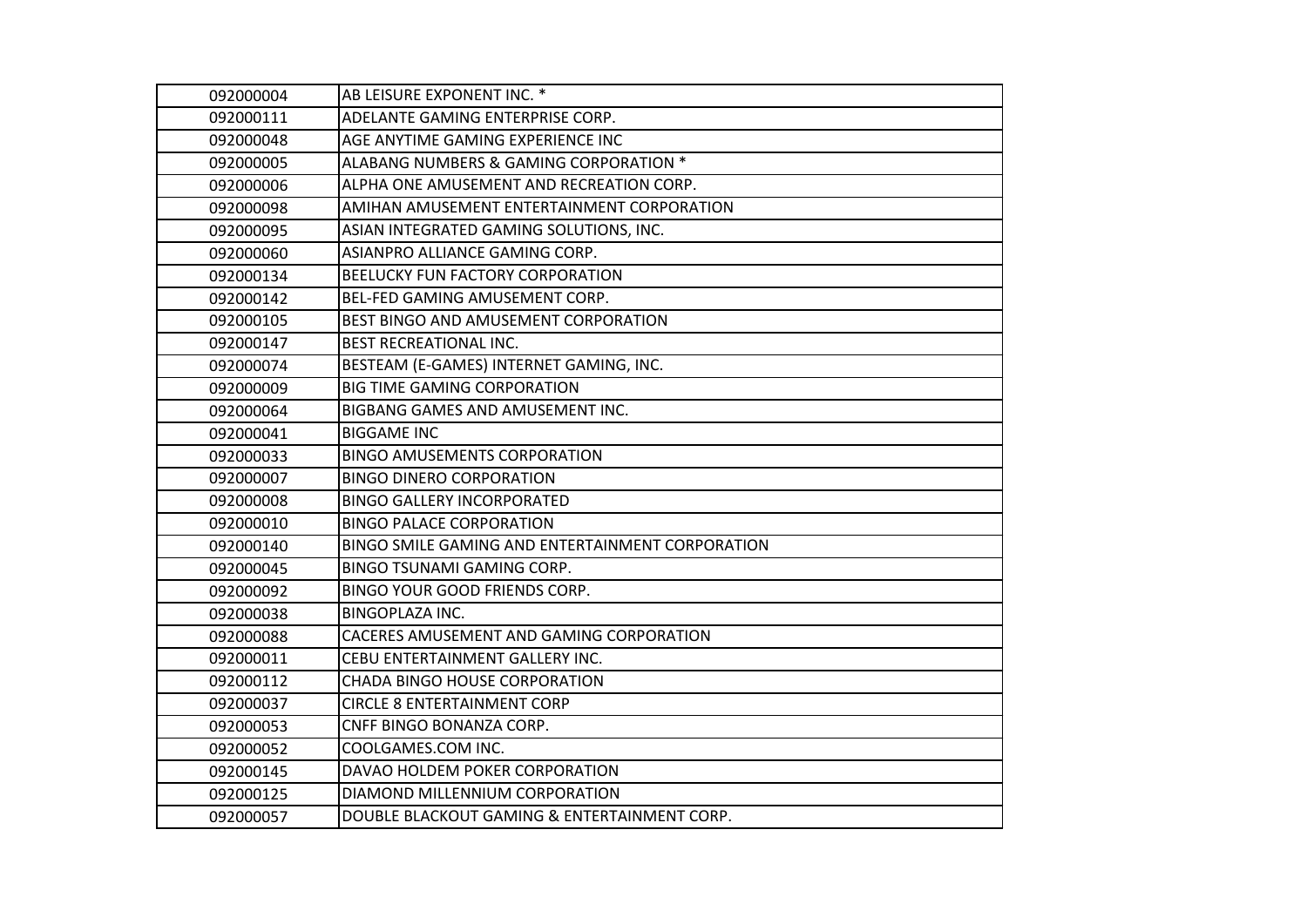| 092000004 | AB LEISURE EXPONENT INC. *                       |
|-----------|--------------------------------------------------|
| 092000111 | ADELANTE GAMING ENTERPRISE CORP.                 |
| 092000048 | AGE ANYTIME GAMING EXPERIENCE INC                |
| 092000005 | ALABANG NUMBERS & GAMING CORPORATION *           |
| 092000006 | ALPHA ONE AMUSEMENT AND RECREATION CORP.         |
| 092000098 | AMIHAN AMUSEMENT ENTERTAINMENT CORPORATION       |
| 092000095 | ASIAN INTEGRATED GAMING SOLUTIONS, INC.          |
| 092000060 | ASIANPRO ALLIANCE GAMING CORP.                   |
| 092000134 | BEELUCKY FUN FACTORY CORPORATION                 |
| 092000142 | BEL-FED GAMING AMUSEMENT CORP.                   |
| 092000105 | BEST BINGO AND AMUSEMENT CORPORATION             |
| 092000147 | <b>BEST RECREATIONAL INC.</b>                    |
| 092000074 | BESTEAM (E-GAMES) INTERNET GAMING, INC.          |
| 092000009 | <b>BIG TIME GAMING CORPORATION</b>               |
| 092000064 | BIGBANG GAMES AND AMUSEMENT INC.                 |
| 092000041 | <b>BIGGAME INC</b>                               |
| 092000033 | <b>BINGO AMUSEMENTS CORPORATION</b>              |
| 092000007 | <b>BINGO DINERO CORPORATION</b>                  |
| 092000008 | <b>BINGO GALLERY INCORPORATED</b>                |
| 092000010 | <b>BINGO PALACE CORPORATION</b>                  |
| 092000140 | BINGO SMILE GAMING AND ENTERTAINMENT CORPORATION |
| 092000045 | <b>BINGO TSUNAMI GAMING CORP.</b>                |
| 092000092 | BINGO YOUR GOOD FRIENDS CORP.                    |
| 092000038 | <b>BINGOPLAZA INC.</b>                           |
| 092000088 | CACERES AMUSEMENT AND GAMING CORPORATION         |
| 092000011 | CEBU ENTERTAINMENT GALLERY INC.                  |
| 092000112 | CHADA BINGO HOUSE CORPORATION                    |
| 092000037 | <b>CIRCLE 8 ENTERTAINMENT CORP</b>               |
| 092000053 | CNFF BINGO BONANZA CORP.                         |
| 092000052 | COOLGAMES.COM INC.                               |
| 092000145 | DAVAO HOLDEM POKER CORPORATION                   |
| 092000125 | DIAMOND MILLENNIUM CORPORATION                   |
| 092000057 | DOUBLE BLACKOUT GAMING & ENTERTAINMENT CORP.     |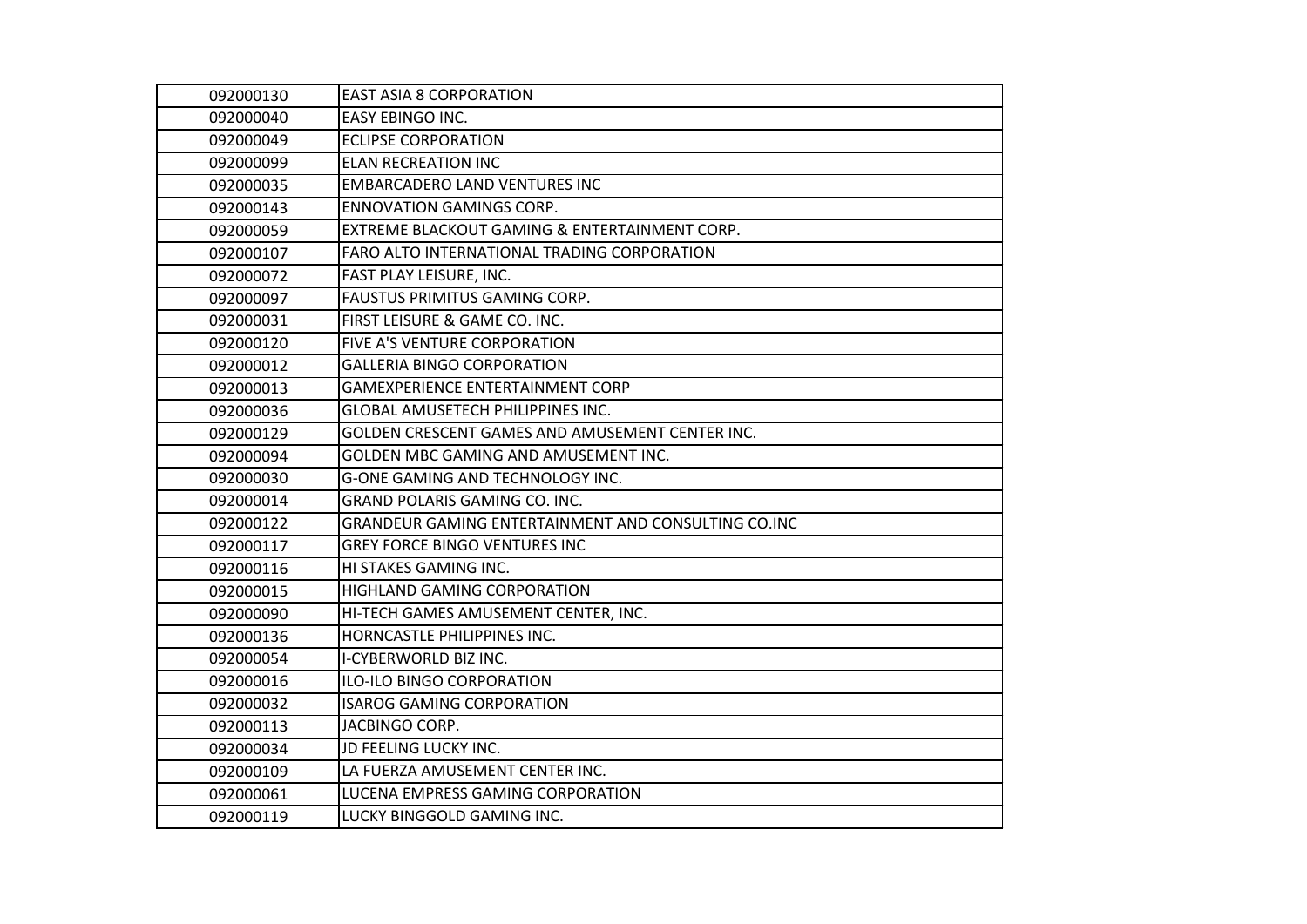| 092000130 | <b>EAST ASIA 8 CORPORATION</b>                         |
|-----------|--------------------------------------------------------|
| 092000040 | <b>EASY EBINGO INC.</b>                                |
| 092000049 | <b>ECLIPSE CORPORATION</b>                             |
| 092000099 | <b>ELAN RECREATION INC</b>                             |
| 092000035 | <b>EMBARCADERO LAND VENTURES INC</b>                   |
| 092000143 | <b>ENNOVATION GAMINGS CORP.</b>                        |
| 092000059 | EXTREME BLACKOUT GAMING & ENTERTAINMENT CORP.          |
| 092000107 | FARO ALTO INTERNATIONAL TRADING CORPORATION            |
| 092000072 | FAST PLAY LEISURE, INC.                                |
| 092000097 | FAUSTUS PRIMITUS GAMING CORP.                          |
| 092000031 | FIRST LEISURE & GAME CO. INC.                          |
| 092000120 | FIVE A'S VENTURE CORPORATION                           |
| 092000012 | <b>GALLERIA BINGO CORPORATION</b>                      |
| 092000013 | <b>GAMEXPERIENCE ENTERTAINMENT CORP</b>                |
| 092000036 | <b>GLOBAL AMUSETECH PHILIPPINES INC.</b>               |
| 092000129 | <b>GOLDEN CRESCENT GAMES AND AMUSEMENT CENTER INC.</b> |
| 092000094 | GOLDEN MBC GAMING AND AMUSEMENT INC.                   |
| 092000030 | <b>G-ONE GAMING AND TECHNOLOGY INC.</b>                |
| 092000014 | GRAND POLARIS GAMING CO. INC.                          |
| 092000122 | GRANDEUR GAMING ENTERTAINMENT AND CONSULTING CO.INC    |
| 092000117 | <b>GREY FORCE BINGO VENTURES INC</b>                   |
| 092000116 | HI STAKES GAMING INC.                                  |
| 092000015 | HIGHLAND GAMING CORPORATION                            |
| 092000090 | HI-TECH GAMES AMUSEMENT CENTER, INC.                   |
| 092000136 | HORNCASTLE PHILIPPINES INC.                            |
| 092000054 | I-CYBERWORLD BIZ INC.                                  |
| 092000016 | ILO-ILO BINGO CORPORATION                              |
| 092000032 | <b>ISAROG GAMING CORPORATION</b>                       |
| 092000113 | JACBINGO CORP.                                         |
| 092000034 | JD FEELING LUCKY INC.                                  |
| 092000109 | LA FUERZA AMUSEMENT CENTER INC.                        |
| 092000061 | LUCENA EMPRESS GAMING CORPORATION                      |
| 092000119 | LUCKY BINGGOLD GAMING INC.                             |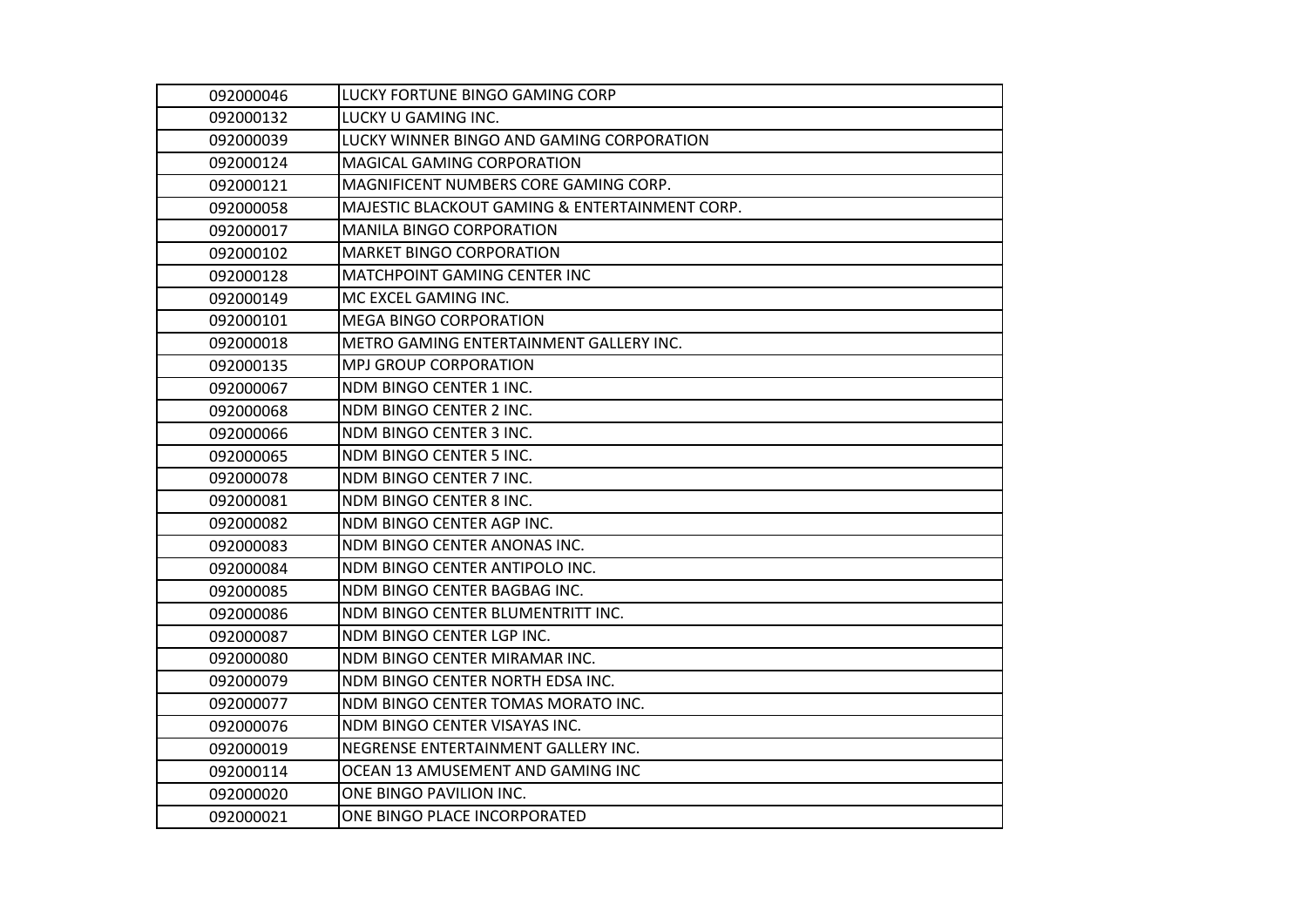| 092000046 | LUCKY FORTUNE BINGO GAMING CORP                |
|-----------|------------------------------------------------|
| 092000132 | LUCKY U GAMING INC.                            |
| 092000039 | LUCKY WINNER BINGO AND GAMING CORPORATION      |
| 092000124 | <b>MAGICAL GAMING CORPORATION</b>              |
| 092000121 | MAGNIFICENT NUMBERS CORE GAMING CORP.          |
| 092000058 | MAJESTIC BLACKOUT GAMING & ENTERTAINMENT CORP. |
| 092000017 | <b>MANILA BINGO CORPORATION</b>                |
| 092000102 | <b>MARKET BINGO CORPORATION</b>                |
| 092000128 | <b>MATCHPOINT GAMING CENTER INC</b>            |
| 092000149 | MC EXCEL GAMING INC.                           |
| 092000101 | <b>MEGA BINGO CORPORATION</b>                  |
| 092000018 | METRO GAMING ENTERTAINMENT GALLERY INC.        |
| 092000135 | <b>MPJ GROUP CORPORATION</b>                   |
| 092000067 | NDM BINGO CENTER 1 INC.                        |
| 092000068 | NDM BINGO CENTER 2 INC.                        |
| 092000066 | NDM BINGO CENTER 3 INC.                        |
| 092000065 | NDM BINGO CENTER 5 INC.                        |
| 092000078 | NDM BINGO CENTER 7 INC.                        |
| 092000081 | NDM BINGO CENTER 8 INC.                        |
| 092000082 | NDM BINGO CENTER AGP INC.                      |
| 092000083 | NDM BINGO CENTER ANONAS INC.                   |
| 092000084 | NDM BINGO CENTER ANTIPOLO INC.                 |
| 092000085 | NDM BINGO CENTER BAGBAG INC.                   |
| 092000086 | NDM BINGO CENTER BLUMENTRITT INC.              |
| 092000087 | NDM BINGO CENTER LGP INC.                      |
| 092000080 | NDM BINGO CENTER MIRAMAR INC.                  |
| 092000079 | NDM BINGO CENTER NORTH EDSA INC.               |
| 092000077 | NDM BINGO CENTER TOMAS MORATO INC.             |
| 092000076 | NDM BINGO CENTER VISAYAS INC.                  |
| 092000019 | NEGRENSE ENTERTAINMENT GALLERY INC.            |
| 092000114 | OCEAN 13 AMUSEMENT AND GAMING INC              |
| 092000020 | ONE BINGO PAVILION INC.                        |
| 092000021 | ONE BINGO PLACE INCORPORATED                   |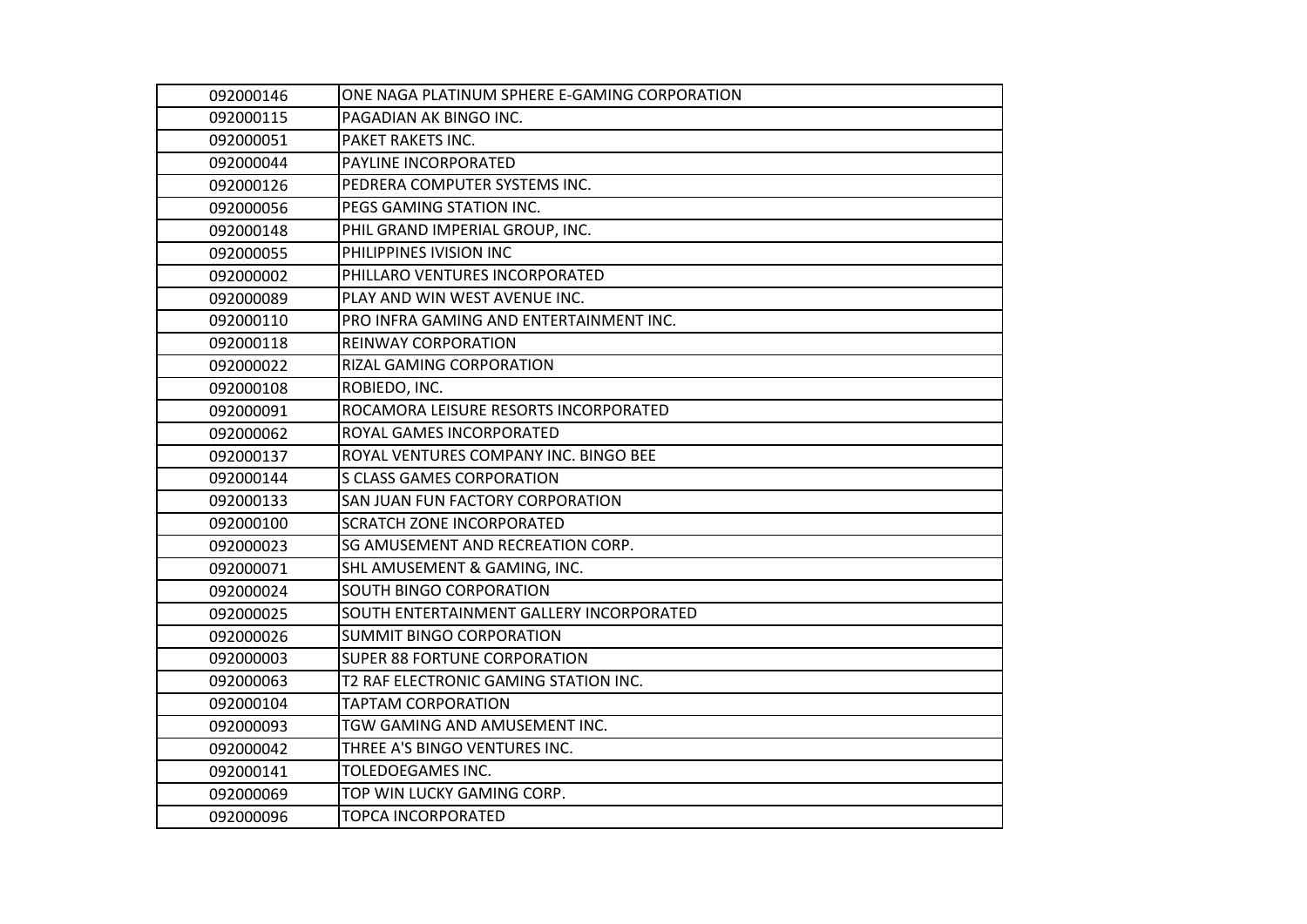| 092000146 | ONE NAGA PLATINUM SPHERE E-GAMING CORPORATION |
|-----------|-----------------------------------------------|
| 092000115 | PAGADIAN AK BINGO INC.                        |
| 092000051 | PAKET RAKETS INC.                             |
| 092000044 | PAYLINE INCORPORATED                          |
| 092000126 | PEDRERA COMPUTER SYSTEMS INC.                 |
| 092000056 | PEGS GAMING STATION INC.                      |
| 092000148 | PHIL GRAND IMPERIAL GROUP, INC.               |
| 092000055 | PHILIPPINES IVISION INC                       |
| 092000002 | PHILLARO VENTURES INCORPORATED                |
| 092000089 | PLAY AND WIN WEST AVENUE INC.                 |
| 092000110 | PRO INFRA GAMING AND ENTERTAINMENT INC.       |
| 092000118 | REINWAY CORPORATION                           |
| 092000022 | <b>RIZAL GAMING CORPORATION</b>               |
| 092000108 | ROBIEDO, INC.                                 |
| 092000091 | ROCAMORA LEISURE RESORTS INCORPORATED         |
| 092000062 | ROYAL GAMES INCORPORATED                      |
| 092000137 | ROYAL VENTURES COMPANY INC. BINGO BEE         |
| 092000144 | <b>S CLASS GAMES CORPORATION</b>              |
| 092000133 | SAN JUAN FUN FACTORY CORPORATION              |
| 092000100 | <b>SCRATCH ZONE INCORPORATED</b>              |
| 092000023 | SG AMUSEMENT AND RECREATION CORP.             |
| 092000071 | SHL AMUSEMENT & GAMING, INC.                  |
| 092000024 | SOUTH BINGO CORPORATION                       |
| 092000025 | SOUTH ENTERTAINMENT GALLERY INCORPORATED      |
| 092000026 | <b>SUMMIT BINGO CORPORATION</b>               |
| 092000003 | SUPER 88 FORTUNE CORPORATION                  |
| 092000063 | T2 RAF ELECTRONIC GAMING STATION INC.         |
| 092000104 | <b>TAPTAM CORPORATION</b>                     |
| 092000093 | TGW GAMING AND AMUSEMENT INC.                 |
| 092000042 | THREE A'S BINGO VENTURES INC.                 |
| 092000141 | TOLEDOEGAMES INC.                             |
| 092000069 | TOP WIN LUCKY GAMING CORP.                    |
| 092000096 | TOPCA INCORPORATED                            |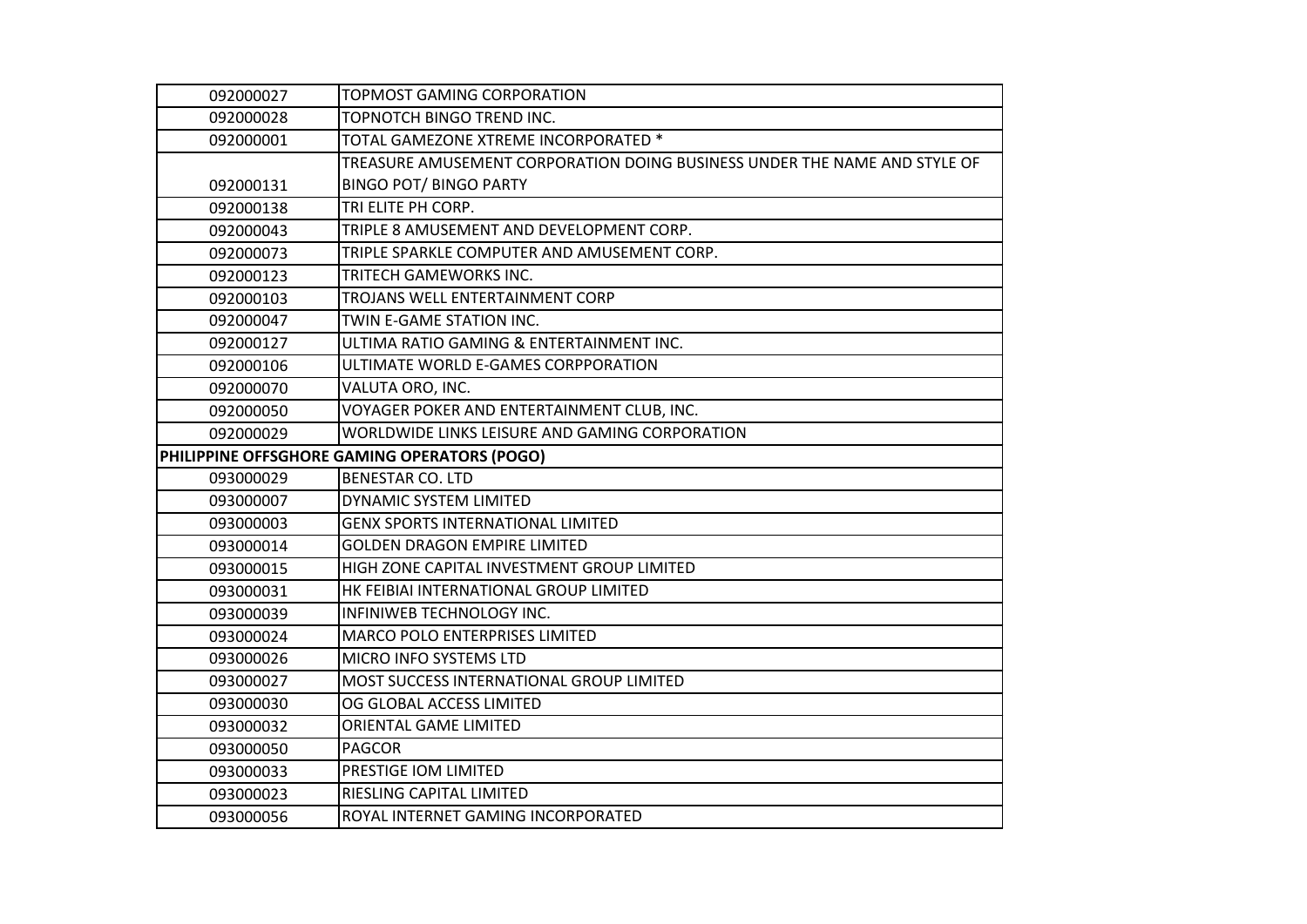| 092000027                                    | TOPMOST GAMING CORPORATION                                                |
|----------------------------------------------|---------------------------------------------------------------------------|
| 092000028                                    | TOPNOTCH BINGO TREND INC.                                                 |
| 092000001                                    | TOTAL GAMEZONE XTREME INCORPORATED *                                      |
|                                              | TREASURE AMUSEMENT CORPORATION DOING BUSINESS UNDER THE NAME AND STYLE OF |
| 092000131                                    | <b>BINGO POT/ BINGO PARTY</b>                                             |
| 092000138                                    | TRI ELITE PH CORP.                                                        |
| 092000043                                    | TRIPLE 8 AMUSEMENT AND DEVELOPMENT CORP.                                  |
| 092000073                                    | TRIPLE SPARKLE COMPUTER AND AMUSEMENT CORP.                               |
| 092000123                                    | TRITECH GAMEWORKS INC.                                                    |
| 092000103                                    | TROJANS WELL ENTERTAINMENT CORP                                           |
| 092000047                                    | TWIN E-GAME STATION INC.                                                  |
| 092000127                                    | ULTIMA RATIO GAMING & ENTERTAINMENT INC.                                  |
| 092000106                                    | ULTIMATE WORLD E-GAMES CORPPORATION                                       |
| 092000070                                    | VALUTA ORO, INC.                                                          |
| 092000050                                    | VOYAGER POKER AND ENTERTAINMENT CLUB, INC.                                |
| 092000029                                    | WORLDWIDE LINKS LEISURE AND GAMING CORPORATION                            |
| PHILIPPINE OFFSGHORE GAMING OPERATORS (POGO) |                                                                           |
| 093000029                                    | <b>BENESTAR CO. LTD</b>                                                   |
| 093000007                                    | DYNAMIC SYSTEM LIMITED                                                    |
| 093000003                                    | <b>GENX SPORTS INTERNATIONAL LIMITED</b>                                  |
| 093000014                                    | <b>GOLDEN DRAGON EMPIRE LIMITED</b>                                       |
| 093000015                                    | HIGH ZONE CAPITAL INVESTMENT GROUP LIMITED                                |
| 093000031                                    | HK FEIBIAI INTERNATIONAL GROUP LIMITED                                    |
| 093000039                                    | INFINIWEB TECHNOLOGY INC.                                                 |
| 093000024                                    | <b>MARCO POLO ENTERPRISES LIMITED</b>                                     |
| 093000026                                    | MICRO INFO SYSTEMS LTD                                                    |
| 093000027                                    | MOST SUCCESS INTERNATIONAL GROUP LIMITED                                  |
| 093000030                                    | OG GLOBAL ACCESS LIMITED                                                  |
| 093000032                                    | ORIENTAL GAME LIMITED                                                     |
| 093000050                                    | <b>PAGCOR</b>                                                             |
| 093000033                                    | PRESTIGE IOM LIMITED                                                      |
| 093000023                                    | RIESLING CAPITAL LIMITED                                                  |
| 093000056                                    | ROYAL INTERNET GAMING INCORPORATED                                        |